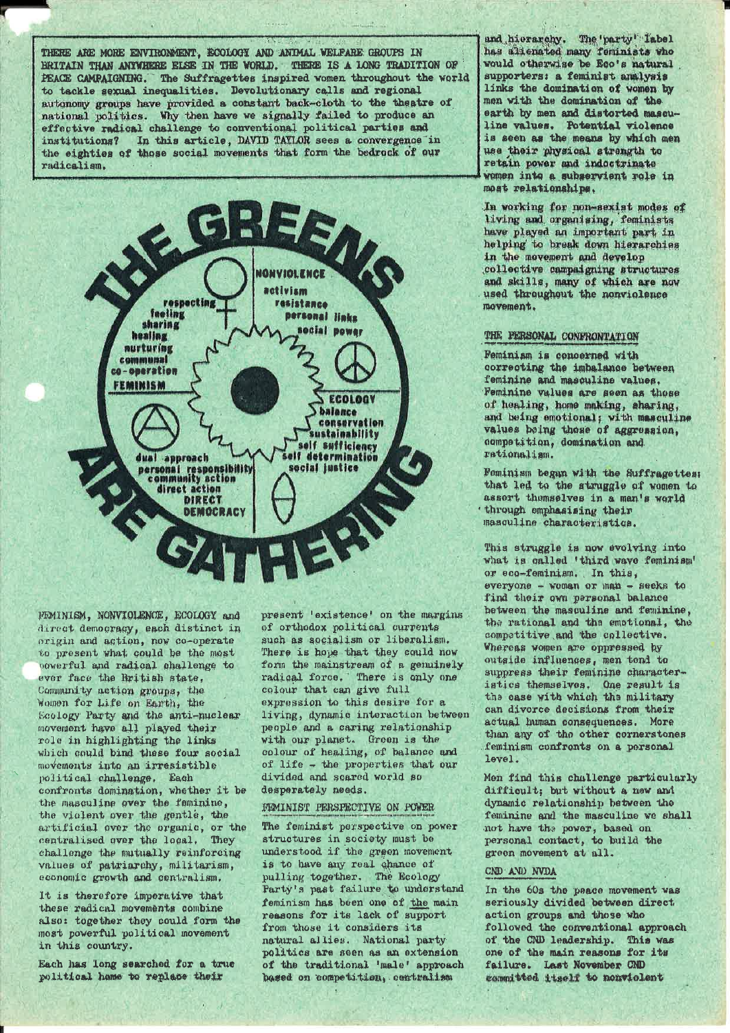THERE ARE MORE ENVIRONMENT. ECOLOGY AND ANTMAL WELFARE GROUPS IN BRITAIN THAN ANYWHERE ELSE IN THE WORLD. THERE IS A LONG TRADITION OF PEACE CAMPAIGNING. The Suffragettes inspired women throughout the world to tackle sexual inequalities. Devolutionary calls and regional autonomy groups have provided a constant back-cloth to the theatre of national politics. Why then have we signally failed to produce an effective radical challenge to conventional political parties and institutions? In this article, DAVID TAYLOR sees a convergence in the eighties of those social movements that form the bedrock of our radicalism.



FEMINISM, NONVIOLENCE, ECOLOGY and direct democracy, each distinct in origin and action, now co-operate to present what could be the most powerful and radical challenge to ever face the British state. Community action groups, the<br>Women for Life on Earth, the Ecology Party and the anti-nuclear movement have all played their role in highlighting the links which could bind these four social movements into an irresistible political challenge. Each<br>confronts domination, whether it be the masculine over the feminine. the violent over the gentle, the artificial over the organic, or the centralised over the local. They challenge the mutually reinforcing values of patriarchy, militarism, economic growth and centralism.

It is therefore imperative that these radical movements combine also: together they could form the most powerful political movement in this country.

Each has long searched for a true political home to replace their

present 'existence' on the margins of orthodox political currents such as socialism or liberalism. There is hope that they could now form the mainstream of a genuinely radical force. There is only one colour that can give full expression to this desire for a living, dynamic interaction between people and a caring relationship with our planet. Green is the colour of healing, of balance and of life - the properties that our divided and scared world so desperately needs.

### FEMINIST PERSPECTIVE ON POWER

The feminist perspective on power structures in society must be understood if the green movement is to have any real chance of pulling together. The Ecology Party's past failure to understand feminism has been one of the main reasons for its lack of support from those it considers its natural allies. National party politics are seen as an extension of the traditional 'male' approach based on competition, contraitsm

and hierarchy. The 'party' Tabel has altenated many feminists who<br>would otherwise be Eco's natural supporters: a feminist analysis links the domination of women by men with the domination of the earth by men and distorted masculine values. Potential violence is seen as the means by which men use their physical strength to retain power and indoctrinate women into a subservient role in most relationships.

In working for non-sexist modes of living and organising, feminists have played an important part in helping to break down hierarchies in the movement and develop collective campaigning structures and skills, many of which are now used throughout the nonviolence movement.

# THE FERSONAL CONFRONTATION

Feminiam is concerned with correcting the imbalance between feminine and masculine values. Feminine values are seen as those of healing, home making, sharing, and being emotional; with masculine values being those of aggression, competition, domination and rationalism.

Feminism began with the Suffragettes; that led to the struggle of women to assert themselves in a man's werld through emphasising their masculine characteristics.

This struggle is now evolving into what is called 'third wave feminism' or eco-feminism. In this, everyone - woman or man - seeks to<br>find their own personal balance between the masculine and feminine. the rational and the emotional, the competitive and the collective. Whereas women are oppressed by outside influences, men tend to suppress their feminine characteristics themselves. One result is the case with which the military can divorce decisions from their actual human consequences. More than any of the other cornerstones feminism confronts on a personal level.

Men find this challenge particularly difficult; but without a new and dynamic relationship between the feminine and the masculine we shall not have the power, based on personal contact, to build the green movement at all.

### CND AND NVDA

In the 60s the peace movement was seriously divided between direct action groups and those who followed the conventional approach of the CND leadership. This was one of the main reasons for its failure. Last November CND committed itself to nonviolent